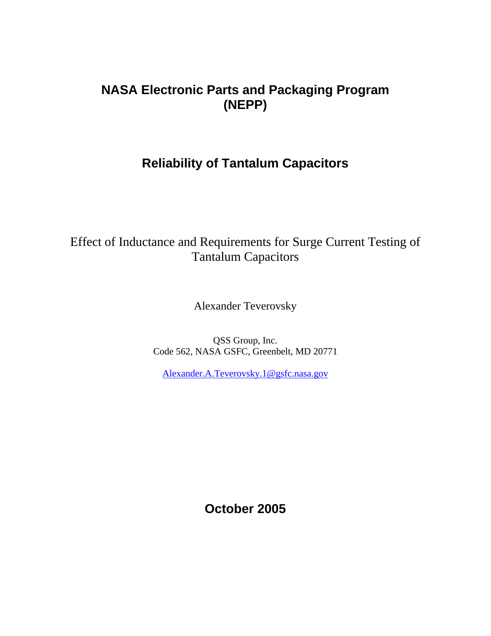# **NASA Electronic Parts and Packaging Program (NEPP)**

# **Reliability of Tantalum Capacitors**

# Effect of Inductance and Requirements for Surge Current Testing of Tantalum Capacitors

Alexander Teverovsky

QSS Group, Inc. Code 562, NASA GSFC, Greenbelt, MD 20771

[Alexander.A.Teverovsky.1@gsfc.nasa.gov](mailto:Alexander.Teverovsky@gsfc.nasa.gov)

**October 2005**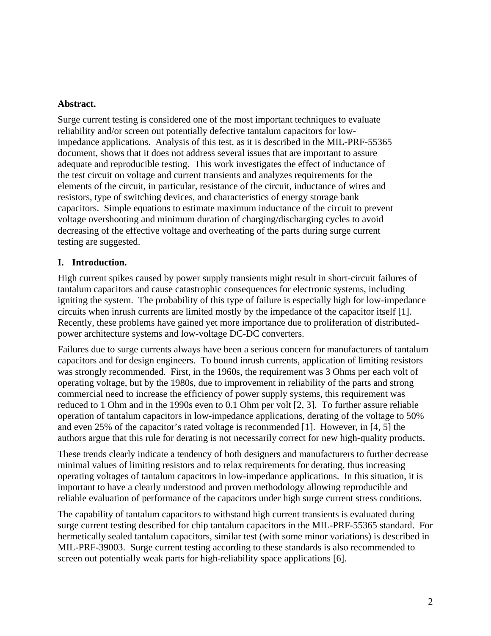## **Abstract.**

Surge current testing is considered one of the most important techniques to evaluate reliability and/or screen out potentially defective tantalum capacitors for lowimpedance applications. Analysis of this test, as it is described in the MIL-PRF-55365 document, shows that it does not address several issues that are important to assure adequate and reproducible testing. This work investigates the effect of inductance of the test circuit on voltage and current transients and analyzes requirements for the elements of the circuit, in particular, resistance of the circuit, inductance of wires and resistors, type of switching devices, and characteristics of energy storage bank capacitors. Simple equations to estimate maximum inductance of the circuit to prevent voltage overshooting and minimum duration of charging/discharging cycles to avoid decreasing of the effective voltage and overheating of the parts during surge current testing are suggested.

# **I. Introduction.**

High current spikes caused by power supply transients might result in short-circuit failures of tantalum capacitors and cause catastrophic consequences for electronic systems, including igniting the system. The probability of this type of failure is especially high for low-impedance circuits when inrush currents are limited mostly by the impedance of the capacitor itself [1]. Recently, these problems have gained yet more importance due to proliferation of distributedpower architecture systems and low-voltage DC-DC converters.

Failures due to surge currents always have been a serious concern for manufacturers of tantalum capacitors and for design engineers. To bound inrush currents, application of limiting resistors was strongly recommended. First, in the 1960s, the requirement was 3 Ohms per each volt of operating voltage, but by the 1980s, due to improvement in reliability of the parts and strong commercial need to increase the efficiency of power supply systems, this requirement was reduced to 1 Ohm and in the 1990s even to 0.1 Ohm per volt [2, 3]. To further assure reliable operation of tantalum capacitors in low-impedance applications, derating of the voltage to 50% and even 25% of the capacitor's rated voltage is recommended [1]. However, in [4, 5] the authors argue that this rule for derating is not necessarily correct for new high-quality products.

These trends clearly indicate a tendency of both designers and manufacturers to further decrease minimal values of limiting resistors and to relax requirements for derating, thus increasing operating voltages of tantalum capacitors in low-impedance applications. In this situation, it is important to have a clearly understood and proven methodology allowing reproducible and reliable evaluation of performance of the capacitors under high surge current stress conditions.

The capability of tantalum capacitors to withstand high current transients is evaluated during surge current testing described for chip tantalum capacitors in the MIL-PRF-55365 standard. For hermetically sealed tantalum capacitors, similar test (with some minor variations) is described in MIL-PRF-39003. Surge current testing according to these standards is also recommended to screen out potentially weak parts for high-reliability space applications [6].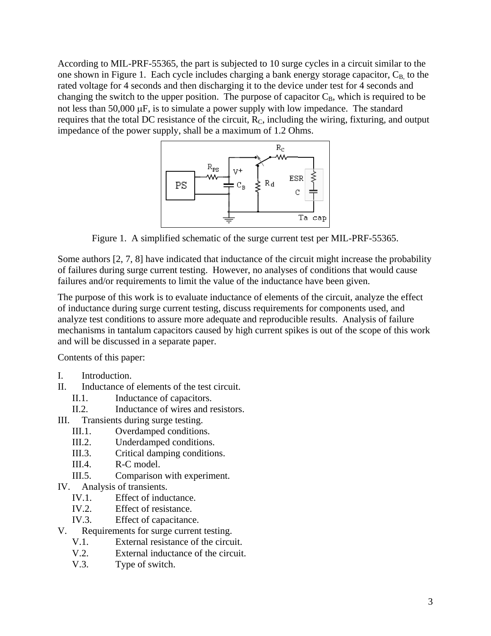According to MIL-PRF-55365, the part is subjected to 10 surge cycles in a circuit similar to the one shown in Figure 1. Each cycle includes charging a bank energy storage capacitor,  $C_B$  to the rated voltage for 4 seconds and then discharging it to the device under test for 4 seconds and changing the switch to the upper position. The purpose of capacitor  $C_B$ , which is required to be not less than 50,000 µF, is to simulate a power supply with low impedance. The standard requires that the total DC resistance of the circuit,  $R_C$ , including the wiring, fixturing, and output impedance of the power supply, shall be a maximum of 1.2 Ohms.



Figure 1. A simplified schematic of the surge current test per MIL-PRF-55365.

Some authors [2, 7, 8] have indicated that inductance of the circuit might increase the probability of failures during surge current testing. However, no analyses of conditions that would cause failures and/or requirements to limit the value of the inductance have been given.

The purpose of this work is to evaluate inductance of elements of the circuit, analyze the effect of inductance during surge current testing, discuss requirements for components used, and analyze test conditions to assure more adequate and reproducible results. Analysis of failure mechanisms in tantalum capacitors caused by high current spikes is out of the scope of this work and will be discussed in a separate paper.

Contents of this paper:

- I. Introduction.
- II. Inductance of elements of the test circuit.
	- II.1. Inductance of capacitors.
	- II.2. Inductance of wires and resistors.
- III. Transients during surge testing.
	- III.1. Overdamped conditions.
	- III.2. Underdamped conditions.
	- III.3. Critical damping conditions.
	- III.4. R-C model.
	- III.5. Comparison with experiment.
- IV. Analysis of transients.
	- IV.1. Effect of inductance.
	- IV.2. Effect of resistance.
	- IV.3. Effect of capacitance.
- V. Requirements for surge current testing.
	- V.1. External resistance of the circuit.
	- V.2. External inductance of the circuit.
	- V.3. Type of switch.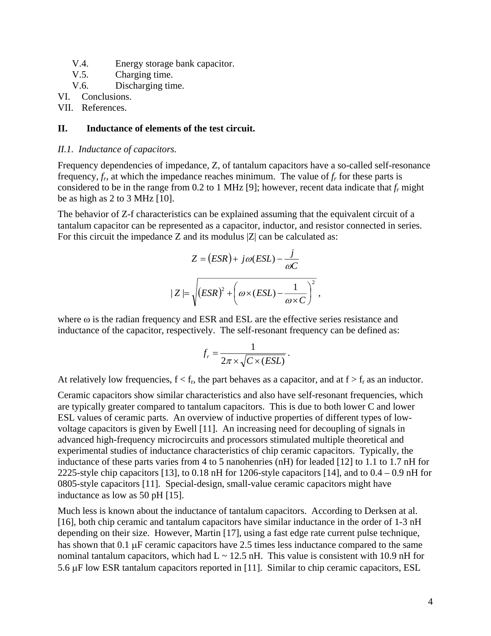- V.4. Energy storage bank capacitor.
- V.5. Charging time.
- V.6. Discharging time.
- VI. Conclusions.

VII. References.

## **II. Inductance of elements of the test circuit.**

## *II.1. Inductance of capacitors.*

Frequency dependencies of impedance, Z, of tantalum capacitors have a so-called self-resonance frequency,  $f<sub>p</sub>$ , at which the impedance reaches minimum. The value of  $f<sub>r</sub>$  for these parts is considered to be in the range from 0.2 to 1 MHz [9]; however, recent data indicate that *fr* might be as high as 2 to 3 MHz [10].

The behavior of Z-f characteristics can be explained assuming that the equivalent circuit of a tantalum capacitor can be represented as a capacitor, inductor, and resistor connected in series. For this circuit the impedance Z and its modulus  $|Z|$  can be calculated as:

$$
Z = (ESR) + j\omega (ESL) - \frac{j}{\omega C}
$$

$$
|Z| = \sqrt{(ESR)^{2} + (\omega \times (ESL) - \frac{1}{\omega \times C})^{2}},
$$

where  $\omega$  is the radian frequency and ESR and ESL are the effective series resistance and inductance of the capacitor, respectively. The self-resonant frequency can be defined as:

$$
f_r = \frac{1}{2\pi \times \sqrt{C \times (ESL)}}.
$$

At relatively low frequencies,  $f < f_r$ , the part behaves as a capacitor, and at  $f > f_r$  as an inductor.

Ceramic capacitors show similar characteristics and also have self-resonant frequencies, which are typically greater compared to tantalum capacitors. This is due to both lower C and lower ESL values of ceramic parts. An overview of inductive properties of different types of lowvoltage capacitors is given by Ewell [11]. An increasing need for decoupling of signals in advanced high-frequency microcircuits and processors stimulated multiple theoretical and experimental studies of inductance characteristics of chip ceramic capacitors. Typically, the inductance of these parts varies from 4 to 5 nanohenries (nH) for leaded [12] to 1.1 to 1.7 nH for 2225-style chip capacitors [13], to 0.18 nH for 1206-style capacitors [14], and to  $0.4 - 0.9$  nH for 0805-style capacitors [11]. Special-design, small-value ceramic capacitors might have inductance as low as 50 pH [15].

Much less is known about the inductance of tantalum capacitors. According to Derksen at al. [16], both chip ceramic and tantalum capacitors have similar inductance in the order of 1-3 nH depending on their size. However, Martin [17], using a fast edge rate current pulse technique, has shown that 0.1  $\mu$ F ceramic capacitors have 2.5 times less inductance compared to the same nominal tantalum capacitors, which had  $L \sim 12.5$  nH. This value is consistent with 10.9 nH for 5.6 µF low ESR tantalum capacitors reported in [11]. Similar to chip ceramic capacitors, ESL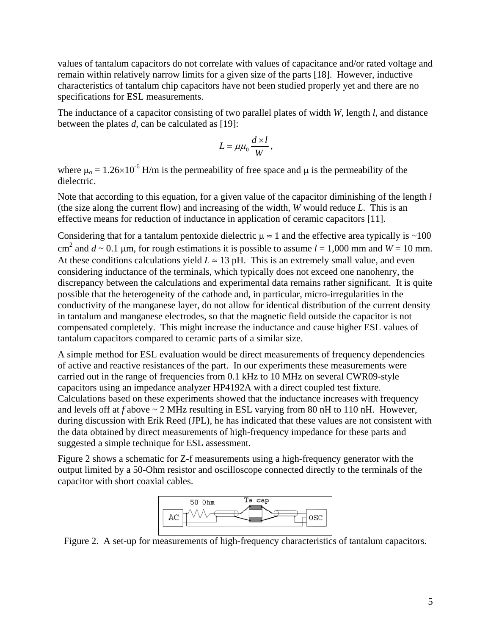values of tantalum capacitors do not correlate with values of capacitance and/or rated voltage and remain within relatively narrow limits for a given size of the parts [18]. However, inductive characteristics of tantalum chip capacitors have not been studied properly yet and there are no specifications for ESL measurements.

The inductance of a capacitor consisting of two parallel plates of width *W*, length *l*, and distance between the plates *d*, can be calculated as [19]:

$$
L = \mu \mu_0 \frac{d \times l}{W},
$$

where  $\mu_0 = 1.26 \times 10^{-6}$  H/m is the permeability of free space and  $\mu$  is the permeability of the dielectric.

Note that according to this equation, for a given value of the capacitor diminishing of the length *l* (the size along the current flow) and increasing of the width, *W* would reduce *L*. This is an effective means for reduction of inductance in application of ceramic capacitors [11].

Considering that for a tantalum pentoxide dielectric  $\mu \approx 1$  and the effective area typically is ~100 cm<sup>2</sup> and  $d \sim 0.1$  µm, for rough estimations it is possible to assume  $l = 1,000$  mm and  $W = 10$  mm. At these conditions calculations yield  $L \approx 13$  pH. This is an extremely small value, and even considering inductance of the terminals, which typically does not exceed one nanohenry, the discrepancy between the calculations and experimental data remains rather significant. It is quite possible that the heterogeneity of the cathode and, in particular, micro-irregularities in the conductivity of the manganese layer, do not allow for identical distribution of the current density in tantalum and manganese electrodes, so that the magnetic field outside the capacitor is not compensated completely. This might increase the inductance and cause higher ESL values of tantalum capacitors compared to ceramic parts of a similar size.

A simple method for ESL evaluation would be direct measurements of frequency dependencies of active and reactive resistances of the part. In our experiments these measurements were carried out in the range of frequencies from 0.1 kHz to 10 MHz on several CWR09-style capacitors using an impedance analyzer HP4192A with a direct coupled test fixture. Calculations based on these experiments showed that the inductance increases with frequency and levels off at *f* above ~ 2 MHz resulting in ESL varying from 80 nH to 110 nH. However, during discussion with Erik Reed (JPL), he has indicated that these values are not consistent with the data obtained by direct measurements of high-frequency impedance for these parts and suggested a simple technique for ESL assessment.

Figure 2 shows a schematic for Z-f measurements using a high-frequency generator with the output limited by a 50-Ohm resistor and oscilloscope connected directly to the terminals of the capacitor with short coaxial cables.



Figure 2. A set-up for measurements of high-frequency characteristics of tantalum capacitors.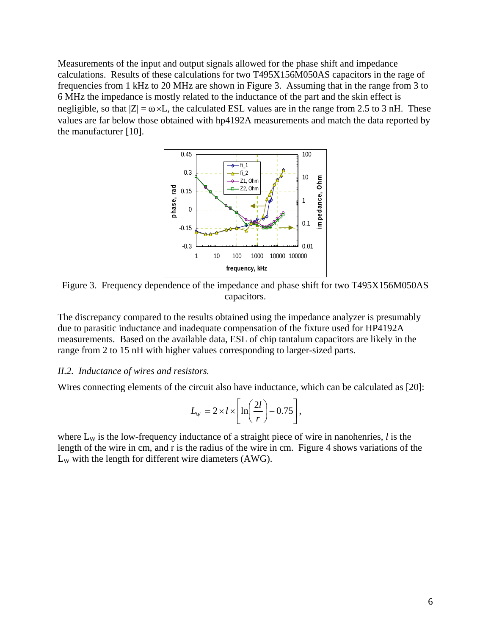Measurements of the input and output signals allowed for the phase shift and impedance calculations. Results of these calculations for two T495X156M050AS capacitors in the rage of frequencies from 1 kHz to 20 MHz are shown in Figure 3. Assuming that in the range from 3 to 6 MHz the impedance is mostly related to the inductance of the part and the skin effect is negligible, so that  $|Z| = \omega \times L$ , the calculated ESL values are in the range from 2.5 to 3 nH. These values are far below those obtained with hp4192A measurements and match the data reported by the manufacturer [10].



Figure 3. Frequency dependence of the impedance and phase shift for two T495X156M050AS capacitors.

The discrepancy compared to the results obtained using the impedance analyzer is presumably due to parasitic inductance and inadequate compensation of the fixture used for HP4192A measurements. Based on the available data, ESL of chip tantalum capacitors are likely in the range from 2 to 15 nH with higher values corresponding to larger-sized parts.

## *II.2. Inductance of wires and resistors.*

Wires connecting elements of the circuit also have inductance, which can be calculated as [20]:

$$
L_{\rm w}=2\times l\times\left[\ln\left(\frac{2l}{r}\right)-0.75\right],
$$

where  $L_W$  is the low-frequency inductance of a straight piece of wire in nanohenries,  $l$  is the length of the wire in cm, and r is the radius of the wire in cm. Figure 4 shows variations of the  $L_W$  with the length for different wire diameters (AWG).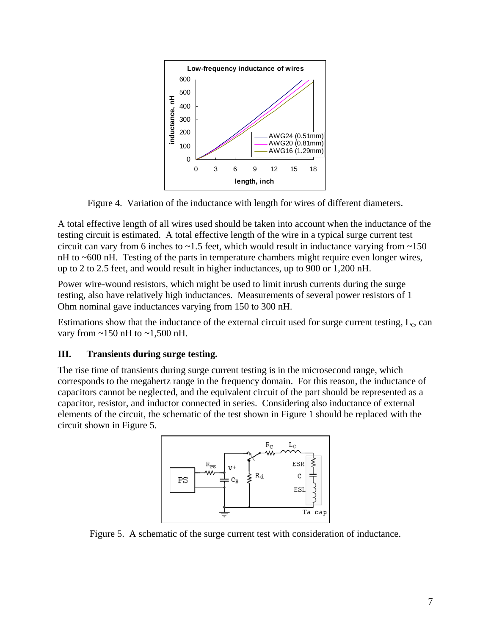

Figure 4. Variation of the inductance with length for wires of different diameters.

A total effective length of all wires used should be taken into account when the inductance of the testing circuit is estimated. A total effective length of the wire in a typical surge current test circuit can vary from 6 inches to  $\sim$  1.5 feet, which would result in inductance varying from  $\sim$  150 nH to ~600 nH. Testing of the parts in temperature chambers might require even longer wires, up to 2 to 2.5 feet, and would result in higher inductances, up to 900 or 1,200 nH.

Power wire-wound resistors, which might be used to limit inrush currents during the surge testing, also have relatively high inductances. Measurements of several power resistors of 1 Ohm nominal gave inductances varying from 150 to 300 nH.

Estimations show that the inductance of the external circuit used for surge current testing,  $L_c$ , can vary from  $\sim$ 150 nH to  $\sim$ 1,500 nH.

# **III. Transients during surge testing.**

The rise time of transients during surge current testing is in the microsecond range, which corresponds to the megahertz range in the frequency domain. For this reason, the inductance of capacitors cannot be neglected, and the equivalent circuit of the part should be represented as a capacitor, resistor, and inductor connected in series. Considering also inductance of external elements of the circuit, the schematic of the test shown in Figure 1 should be replaced with the circuit shown in Figure 5.



Figure 5. A schematic of the surge current test with consideration of inductance.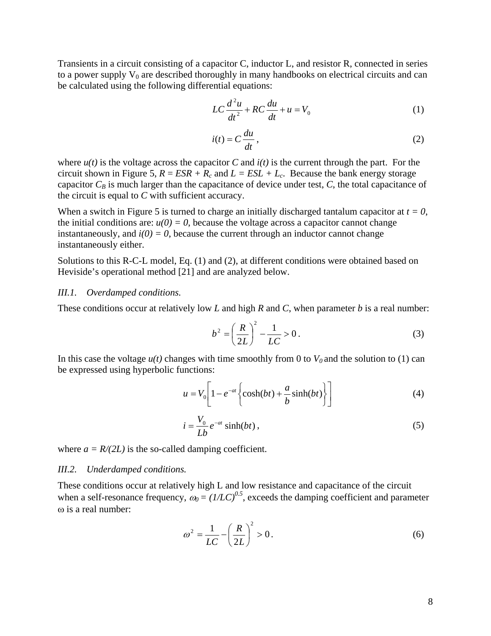Transients in a circuit consisting of a capacitor C, inductor L, and resistor R, connected in series to a power supply  $V_0$  are described thoroughly in many handbooks on electrical circuits and can be calculated using the following differential equations:

$$
LC\frac{d^2u}{dt^2} + RC\frac{du}{dt} + u = V_0
$$
 (1)

$$
i(t) = C \frac{du}{dt},
$$
 (2)

where  $u(t)$  is the voltage across the capacitor *C* and  $i(t)$  is the current through the part. For the circuit shown in Figure 5,  $R = ESR + R_c$  and  $L = ESL + L_c$ . Because the bank energy storage capacitor  $C_B$  is much larger than the capacitance of device under test,  $C$ , the total capacitance of the circuit is equal to *C* with sufficient accuracy.

When a switch in Figure 5 is turned to charge an initially discharged tantalum capacitor at  $t = 0$ , the initial conditions are:  $u(0) = 0$ , because the voltage across a capacitor cannot change instantaneously, and  $i(0) = 0$ , because the current through an inductor cannot change instantaneously either.

Solutions to this R-C-L model, Eq. (1) and (2), at different conditions were obtained based on Heviside's operational method [21] and are analyzed below.

### *III.1. Overdamped conditions.*

These conditions occur at relatively low *L* and high *R* and *C*, when parameter *b* is a real number:

$$
b^{2} = \left(\frac{R}{2L}\right)^{2} - \frac{1}{LC} > 0.
$$
 (3)

In this case the voltage  $u(t)$  changes with time smoothly from 0 to  $V_0$  and the solution to (1) can be expressed using hyperbolic functions:

$$
u = V_0 \left[ 1 - e^{-at} \left\{ \cosh(bt) + \frac{a}{b} \sinh(bt) \right\} \right]
$$
 (4)

$$
i = \frac{V_0}{Lb} e^{-at} \sinh(bt) , \qquad (5)
$$

where  $a = R/(2L)$  is the so-called damping coefficient.

### *III.2. Underdamped conditions.*

These conditions occur at relatively high L and low resistance and capacitance of the circuit when a self-resonance frequency,  $\omega_0 = (1/LC)^{0.5}$ , exceeds the damping coefficient and parameter ω is a real number:

$$
\omega^2 = \frac{1}{LC} - \left(\frac{R}{2L}\right)^2 > 0.
$$
 (6)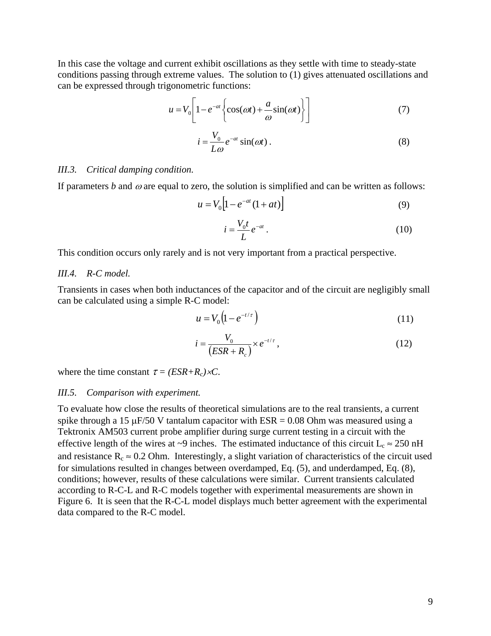In this case the voltage and current exhibit oscillations as they settle with time to steady-state conditions passing through extreme values. The solution to (1) gives attenuated oscillations and can be expressed through trigonometric functions:

$$
u = V_0 \left[ 1 - e^{-at} \left\{ \cos(\omega t) + \frac{a}{\omega} \sin(\omega t) \right\} \right]
$$
 (7)

$$
i = \frac{V_0}{L\omega} e^{-\alpha t} \sin(\omega t) \,. \tag{8}
$$

#### *III.3. Critical damping condition.*

If parameters  $b$  and  $\omega$  are equal to zero, the solution is simplified and can be written as follows:

$$
u = V_0 \Big[ 1 - e^{-at} (1 + at) \Big] \tag{9}
$$

$$
i = \frac{V_0 t}{L} e^{-at} \tag{10}
$$

This condition occurs only rarely and is not very important from a practical perspective.

## *III.4. R-C model.*

Transients in cases when both inductances of the capacitor and of the circuit are negligibly small can be calculated using a simple R-C model:

$$
u = V_0 \left( 1 - e^{-t/\tau} \right) \tag{11}
$$

$$
i = \frac{V_0}{(ESR + R_c)} \times e^{-t/\tau},\tag{12}
$$

where the time constant  $\tau = (ESR + R_c) \times C$ .

#### *III.5. Comparison with experiment.*

To evaluate how close the results of theoretical simulations are to the real transients, a current spike through a 15  $\mu$ F/50 V tantalum capacitor with ESR = 0.08 Ohm was measured using a Tektronix AM503 current probe amplifier during surge current testing in a circuit with the effective length of the wires at ~9 inches. The estimated inductance of this circuit  $L_c \approx 250 \text{ nH}$ and resistance  $R_c \approx 0.2$  Ohm. Interestingly, a slight variation of characteristics of the circuit used for simulations resulted in changes between overdamped, Eq. (5), and underdamped, Eq. (8), conditions; however, results of these calculations were similar. Current transients calculated according to R-C-L and R-C models together with experimental measurements are shown in Figure 6. It is seen that the R-C-L model displays much better agreement with the experimental data compared to the R-C model.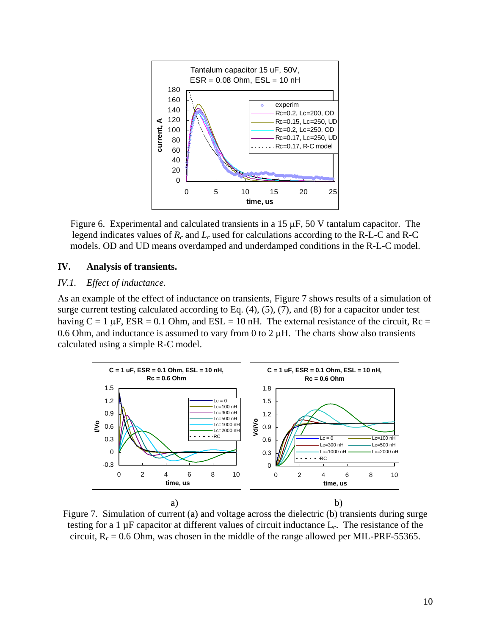

Figure 6. Experimental and calculated transients in a 15  $\mu$ F, 50 V tantalum capacitor. The legend indicates values of *Rc* and *Lc* used for calculations according to the R-L-C and R-C models. OD and UD means overdamped and underdamped conditions in the R-L-C model.

## **IV. Analysis of transients.**

## *IV.1. Effect of inductance.*

As an example of the effect of inductance on transients, Figure 7 shows results of a simulation of surge current testing calculated according to Eq. (4), (5), (7), and (8) for a capacitor under test having  $C = 1 \mu F$ ,  $ESR = 0.1 \text{ Ohm}$ , and  $ESL = 10 \text{ nH}$ . The external resistance of the circuit,  $Rc =$ 0.6 Ohm, and inductance is assumed to vary from 0 to 2  $\mu$ H. The charts show also transients calculated using a simple R-C model.



Figure 7. Simulation of current (a) and voltage across the dielectric (b) transients during surge testing for a 1  $\mu$ F capacitor at different values of circuit inductance  $L_c$ . The resistance of the circuit,  $R_c = 0.6$  Ohm, was chosen in the middle of the range allowed per MIL-PRF-55365.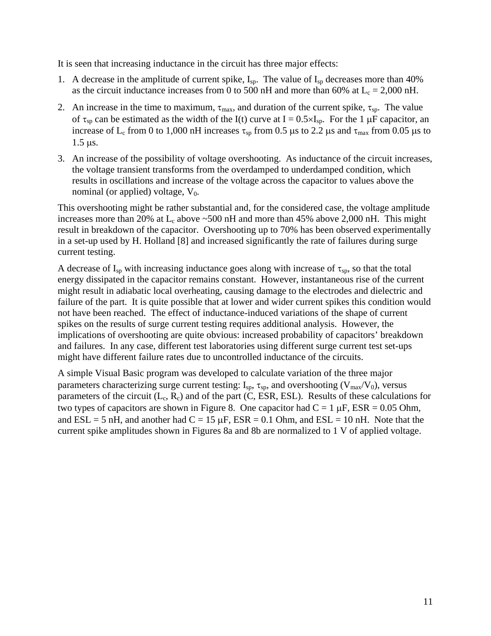It is seen that increasing inductance in the circuit has three major effects:

- 1. A decrease in the amplitude of current spike,  $I_{sp}$ . The value of  $I_{sp}$  decreases more than 40% as the circuit inductance increases from 0 to 500 nH and more than 60% at  $L_c = 2,000$  nH.
- 2. An increase in the time to maximum,  $\tau_{\text{max}}$ , and duration of the current spike,  $\tau_{\text{sp}}$ . The value of  $\tau_{sp}$  can be estimated as the width of the I(t) curve at I = 0.5×I<sub>sp</sub>. For the 1 µF capacitor, an increase of L<sub>c</sub> from 0 to 1,000 nH increases  $\tau_{sp}$  from 0.5 µs to 2.2 µs and  $\tau_{max}$  from 0.05 µs to 1.5 µs.
- 3. An increase of the possibility of voltage overshooting. As inductance of the circuit increases, the voltage transient transforms from the overdamped to underdamped condition, which results in oscillations and increase of the voltage across the capacitor to values above the nominal (or applied) voltage,  $V_0$ .

This overshooting might be rather substantial and, for the considered case, the voltage amplitude increases more than 20% at  $L_c$  above  $\sim$  500 nH and more than 45% above 2,000 nH. This might result in breakdown of the capacitor. Overshooting up to 70% has been observed experimentally in a set-up used by H. Holland [8] and increased significantly the rate of failures during surge current testing.

A decrease of  $I_{sp}$  with increasing inductance goes along with increase of  $\tau_{sp}$ , so that the total energy dissipated in the capacitor remains constant. However, instantaneous rise of the current might result in adiabatic local overheating, causing damage to the electrodes and dielectric and failure of the part. It is quite possible that at lower and wider current spikes this condition would not have been reached. The effect of inductance-induced variations of the shape of current spikes on the results of surge current testing requires additional analysis. However, the implications of overshooting are quite obvious: increased probability of capacitors' breakdown and failures. In any case, different test laboratories using different surge current test set-ups might have different failure rates due to uncontrolled inductance of the circuits.

A simple Visual Basic program was developed to calculate variation of the three major parameters characterizing surge current testing:  $I_{sp}$ ,  $\tau_{sp}$ , and overshooting ( $V_{max}/V_0$ ), versus parameters of the circuit  $(L_c, R_c)$  and of the part  $(\dot{C}, \dot{ESR}, \dot{ESL})$ . Results of these calculations for two types of capacitors are shown in Figure 8. One capacitor had  $C = 1 \mu F$ , ESR = 0.05 Ohm, and  $ESL = 5$  nH, and another had  $C = 15 \mu$ F,  $ESR = 0.1$  Ohm, and  $ESL = 10 \text{ nH}$ . Note that the current spike amplitudes shown in Figures 8a and 8b are normalized to 1 V of applied voltage.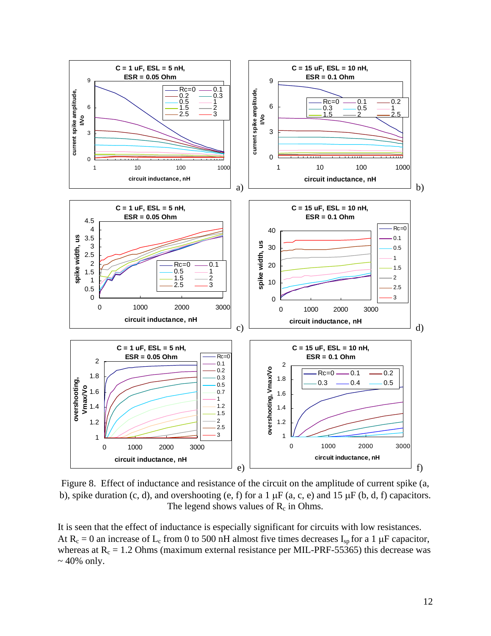

Figure 8. Effect of inductance and resistance of the circuit on the amplitude of current spike (a, b), spike duration  $(c, d)$ , and overshooting  $(e, f)$  for a 1  $\mu$ F  $(a, c, e)$  and 15  $\mu$ F  $(b, d, f)$  capacitors. The legend shows values of  $R_c$  in Ohms.

It is seen that the effect of inductance is especially significant for circuits with low resistances. At  $R_c = 0$  an increase of  $L_c$  from 0 to 500 nH almost five times decreases  $I_{sp}$  for a 1 µF capacitor, whereas at  $R_c = 1.2$  Ohms (maximum external resistance per MIL-PRF-55365) this decrease was  $\sim$  40% only.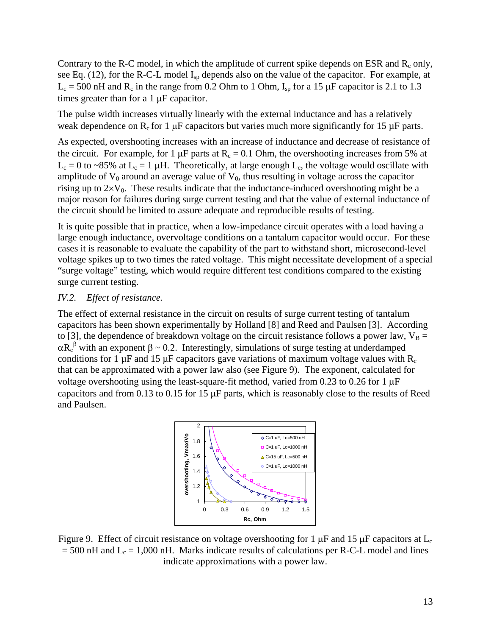Contrary to the R-C model, in which the amplitude of current spike depends on ESR and  $R_c$  only, see Eq. (12), for the R-C-L model I<sub>sp</sub> depends also on the value of the capacitor. For example, at  $L_c = 500$  nH and  $R_c$  in the range from 0.2 Ohm to 1 Ohm,  $I_{sp}$  for a 15  $\mu$ F capacitor is 2.1 to 1.3 times greater than for a 1 µF capacitor.

The pulse width increases virtually linearly with the external inductance and has a relatively weak dependence on  $R_c$  for 1  $\mu$ F capacitors but varies much more significantly for 15  $\mu$ F parts.

As expected, overshooting increases with an increase of inductance and decrease of resistance of the circuit. For example, for 1  $\mu$ F parts at R<sub>c</sub> = 0.1 Ohm, the overshooting increases from 5% at  $L_c = 0$  to ~85% at  $L_c = 1$  µH. Theoretically, at large enough  $L_c$ , the voltage would oscillate with amplitude of  $V_0$  around an average value of  $V_0$ , thus resulting in voltage across the capacitor rising up to  $2 \times V_0$ . These results indicate that the inductance-induced overshooting might be a major reason for failures during surge current testing and that the value of external inductance of the circuit should be limited to assure adequate and reproducible results of testing.

It is quite possible that in practice, when a low-impedance circuit operates with a load having a large enough inductance, overvoltage conditions on a tantalum capacitor would occur. For these cases it is reasonable to evaluate the capability of the part to withstand short, microsecond-level voltage spikes up to two times the rated voltage. This might necessitate development of a special "surge voltage" testing, which would require different test conditions compared to the existing surge current testing.

# *IV.2. Effect of resistance.*

The effect of external resistance in the circuit on results of surge current testing of tantalum capacitors has been shown experimentally by Holland [8] and Reed and Paulsen [3]. According to [3], the dependence of breakdown voltage on the circuit resistance follows a power law,  $V_B =$  $\alpha R_c^{\beta}$  with an exponent  $\beta \sim 0.2$ . Interestingly, simulations of surge testing at underdamped conditions for 1  $\mu$ F and 15  $\mu$ F capacitors gave variations of maximum voltage values with R<sub>c</sub> that can be approximated with a power law also (see Figure 9). The exponent, calculated for voltage overshooting using the least-square-fit method, varied from 0.23 to 0.26 for 1 µF capacitors and from 0.13 to 0.15 for 15 µF parts, which is reasonably close to the results of Reed and Paulsen.



Figure 9. Effect of circuit resistance on voltage overshooting for 1  $\mu$ F and 15  $\mu$ F capacitors at L<sub>c</sub>  $= 500$  nH and  $L_c = 1,000$  nH. Marks indicate results of calculations per R-C-L model and lines indicate approximations with a power law.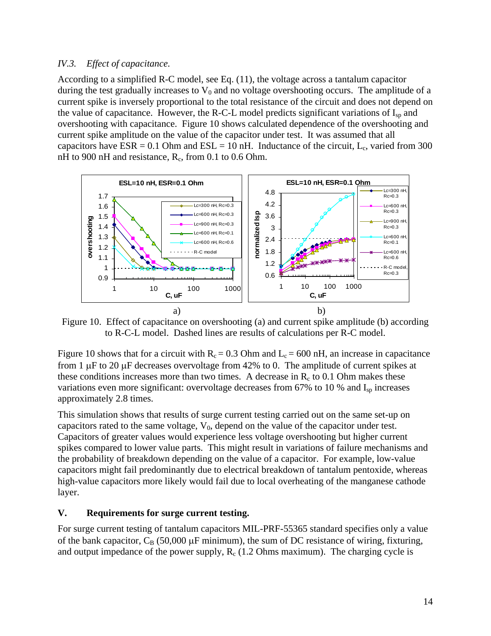## *IV.3. Effect of capacitance.*

According to a simplified R-C model, see Eq. (11), the voltage across a tantalum capacitor during the test gradually increases to  $V_0$  and no voltage overshooting occurs. The amplitude of a current spike is inversely proportional to the total resistance of the circuit and does not depend on the value of capacitance. However, the R-C-L model predicts significant variations of  $I_{sn}$  and overshooting with capacitance. Figure 10 shows calculated dependence of the overshooting and current spike amplitude on the value of the capacitor under test. It was assumed that all capacitors have  $ESR = 0.1$  Ohm and  $ESL = 10$  nH. Inductance of the circuit, L<sub>c</sub>, varied from 300 nH to 900 nH and resistance,  $R_c$ , from 0.1 to 0.6 Ohm.



Figure 10. Effect of capacitance on overshooting (a) and current spike amplitude (b) according to R-C-L model. Dashed lines are results of calculations per R-C model.

Figure 10 shows that for a circuit with  $R_c = 0.3$  Ohm and  $L_c = 600$  nH, an increase in capacitance from 1  $\mu$ F to 20  $\mu$ F decreases overvoltage from 42% to 0. The amplitude of current spikes at these conditions increases more than two times. A decrease in  $R_c$  to 0.1 Ohm makes these variations even more significant: overvoltage decreases from 67% to 10 % and I<sub>sp</sub> increases approximately 2.8 times.

This simulation shows that results of surge current testing carried out on the same set-up on capacitors rated to the same voltage,  $V_0$ , depend on the value of the capacitor under test. Capacitors of greater values would experience less voltage overshooting but higher current spikes compared to lower value parts. This might result in variations of failure mechanisms and the probability of breakdown depending on the value of a capacitor. For example, low-value capacitors might fail predominantly due to electrical breakdown of tantalum pentoxide, whereas high-value capacitors more likely would fail due to local overheating of the manganese cathode layer.

## **V. Requirements for surge current testing.**

For surge current testing of tantalum capacitors MIL-PRF-55365 standard specifies only a value of the bank capacitor,  $C_B$  (50,000  $\mu$ F minimum), the sum of DC resistance of wiring, fixturing, and output impedance of the power supply,  $R_c$  (1.2 Ohms maximum). The charging cycle is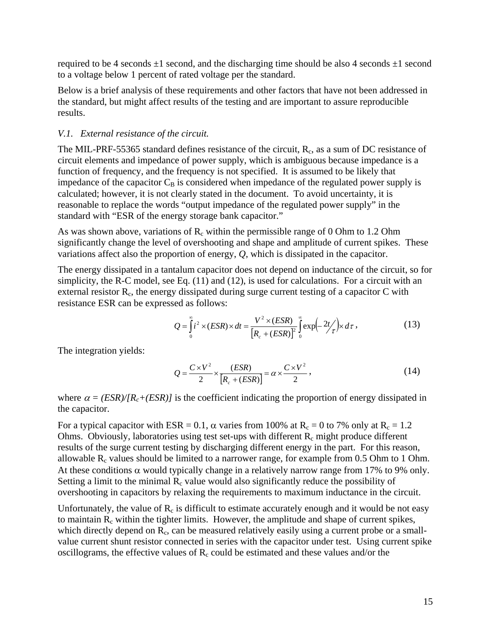required to be 4 seconds  $\pm 1$  second, and the discharging time should be also 4 seconds  $\pm 1$  second to a voltage below 1 percent of rated voltage per the standard.

Below is a brief analysis of these requirements and other factors that have not been addressed in the standard, but might affect results of the testing and are important to assure reproducible results.

## *V.1. External resistance of the circuit.*

The MIL-PRF-55365 standard defines resistance of the circuit,  $R_c$ , as a sum of DC resistance of circuit elements and impedance of power supply, which is ambiguous because impedance is a function of frequency, and the frequency is not specified. It is assumed to be likely that impedance of the capacitor  $C_B$  is considered when impedance of the regulated power supply is calculated; however, it is not clearly stated in the document. To avoid uncertainty, it is reasonable to replace the words "output impedance of the regulated power supply" in the standard with "ESR of the energy storage bank capacitor."

As was shown above, variations of  $R_c$  within the permissible range of 0 Ohm to 1.2 Ohm significantly change the level of overshooting and shape and amplitude of current spikes. These variations affect also the proportion of energy, *Q*, which is dissipated in the capacitor.

The energy dissipated in a tantalum capacitor does not depend on inductance of the circuit, so for simplicity, the R-C model, see Eq. (11) and (12), is used for calculations. For a circuit with an external resistor  $R_c$ , the energy dissipated during surge current testing of a capacitor C with resistance ESR can be expressed as follows:

$$
Q = \int_{0}^{\infty} i^{2} \times (ESR) \times dt = \frac{V^{2} \times (ESR)}{[R_{c} + (ESR)]^{2}} \int_{0}^{\infty} \exp\left(-\frac{2t}{\tau}\right) \times d\tau,
$$
 (13)

The integration yields:

$$
Q = \frac{C \times V^2}{2} \times \frac{(ESR)}{[R_c + (ESR)]} = \alpha \times \frac{C \times V^2}{2},
$$
\n(14)

where  $\alpha = (ESR)/[R_c+(ESR)]$  is the coefficient indicating the proportion of energy dissipated in the capacitor.

For a typical capacitor with ESR = 0.1,  $\alpha$  varies from 100% at R<sub>c</sub> = 0 to 7% only at R<sub>c</sub> = 1.2 Ohms. Obviously, laboratories using test set-ups with different  $R_c$  might produce different results of the surge current testing by discharging different energy in the part. For this reason, allowable  $R_c$  values should be limited to a narrower range, for example from 0.5 Ohm to 1 Ohm. At these conditions  $\alpha$  would typically change in a relatively narrow range from 17% to 9% only. Setting a limit to the minimal  $R_c$  value would also significantly reduce the possibility of overshooting in capacitors by relaxing the requirements to maximum inductance in the circuit.

Unfortunately, the value of  $R_c$  is difficult to estimate accurately enough and it would be not easy to maintain  $R_c$  within the tighter limits. However, the amplitude and shape of current spikes, which directly depend on  $R_c$ , can be measured relatively easily using a current probe or a smallvalue current shunt resistor connected in series with the capacitor under test. Using current spike oscillograms, the effective values of  $R<sub>c</sub>$  could be estimated and these values and/or the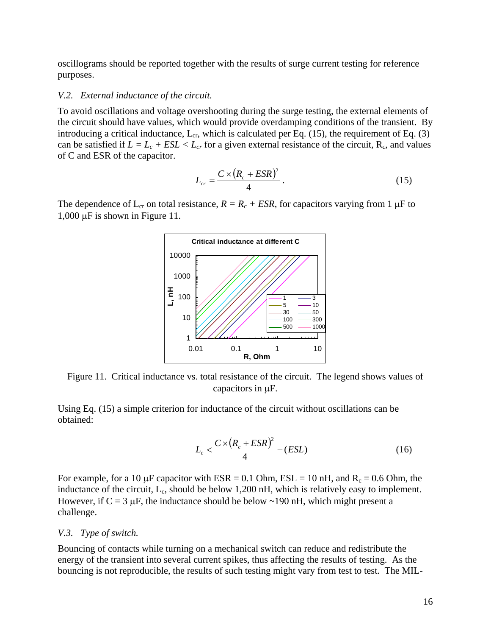oscillograms should be reported together with the results of surge current testing for reference purposes.

### *V.2. External inductance of the circuit.*

To avoid oscillations and voltage overshooting during the surge testing, the external elements of the circuit should have values, which would provide overdamping conditions of the transient. By introducing a critical inductance,  $L_{cr}$ , which is calculated per Eq. (15), the requirement of Eq. (3) can be satisfied if  $L = L_c + ESL < L_{cr}$  for a given external resistance of the circuit, R<sub>c</sub>, and values of C and ESR of the capacitor.

$$
L_{cr} = \frac{C \times (R_c + ESR)^2}{4} \,. \tag{15}
$$

The dependence of  $L_{cr}$  on total resistance,  $R = R_c + ESR$ , for capacitors varying from 1  $\mu$ F to 1,000 µF is shown in Figure 11.



Figure 11. Critical inductance vs. total resistance of the circuit. The legend shows values of capacitors in µF.

Using Eq. (15) a simple criterion for inductance of the circuit without oscillations can be obtained:

$$
L_c < \frac{C \times (R_c + ESR)^2}{4} - (ESL)
$$
 (16)

For example, for a 10  $\mu$ F capacitor with ESR = 0.1 Ohm, ESL = 10 nH, and R<sub>c</sub> = 0.6 Ohm, the inductance of the circuit,  $L_c$ , should be below 1,200 nH, which is relatively easy to implement. However, if  $C = 3 \mu F$ , the inductance should be below ~190 nH, which might present a challenge.

### *V.3. Type of switch.*

Bouncing of contacts while turning on a mechanical switch can reduce and redistribute the energy of the transient into several current spikes, thus affecting the results of testing. As the bouncing is not reproducible, the results of such testing might vary from test to test. The MIL-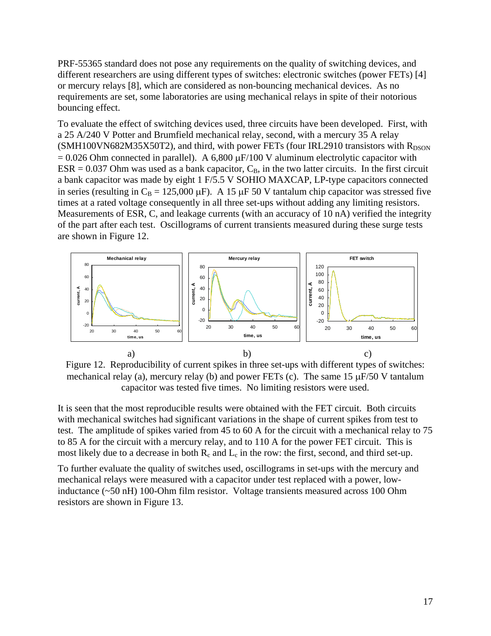PRF-55365 standard does not pose any requirements on the quality of switching devices, and different researchers are using different types of switches: electronic switches (power FETs) [4] or mercury relays [8], which are considered as non-bouncing mechanical devices. As no requirements are set, some laboratories are using mechanical relays in spite of their notorious bouncing effect.

To evaluate the effect of switching devices used, three circuits have been developed. First, with a 25 A/240 V Potter and Brumfield mechanical relay, second, with a mercury 35 A relay  $(SMH100VN682M35X50T2)$ , and third, with power FETs (four IRL2910 transistors with  $R_{DSON}$  $= 0.026$  Ohm connected in parallel). A 6,800  $\mu$ F/100 V aluminum electrolytic capacitor with  $ESR = 0.037$  Ohm was used as a bank capacitor,  $C_B$ , in the two latter circuits. In the first circuit a bank capacitor was made by eight 1 F/5.5 V SOHIO MAXCAP, LP-type capacitors connected in series (resulting in C<sub>B</sub> = 125,000  $\mu$ F). A 15  $\mu$ F 50 V tantalum chip capacitor was stressed five times at a rated voltage consequently in all three set-ups without adding any limiting resistors. Measurements of ESR, C, and leakage currents (with an accuracy of 10 nA) verified the integrity of the part after each test. Oscillograms of current transients measured during these surge tests are shown in Figure 12.



Figure 12. Reproducibility of current spikes in three set-ups with different types of switches: mechanical relay (a), mercury relay (b) and power FETs (c). The same  $15 \mu$ F/50 V tantalum capacitor was tested five times. No limiting resistors were used.

It is seen that the most reproducible results were obtained with the FET circuit. Both circuits with mechanical switches had significant variations in the shape of current spikes from test to test. The amplitude of spikes varied from 45 to 60 A for the circuit with a mechanical relay to 75 to 85 A for the circuit with a mercury relay, and to 110 A for the power FET circuit. This is most likely due to a decrease in both  $R_c$  and  $L_c$  in the row: the first, second, and third set-up.

To further evaluate the quality of switches used, oscillograms in set-ups with the mercury and mechanical relays were measured with a capacitor under test replaced with a power, lowinductance (~50 nH) 100-Ohm film resistor. Voltage transients measured across 100 Ohm resistors are shown in Figure 13.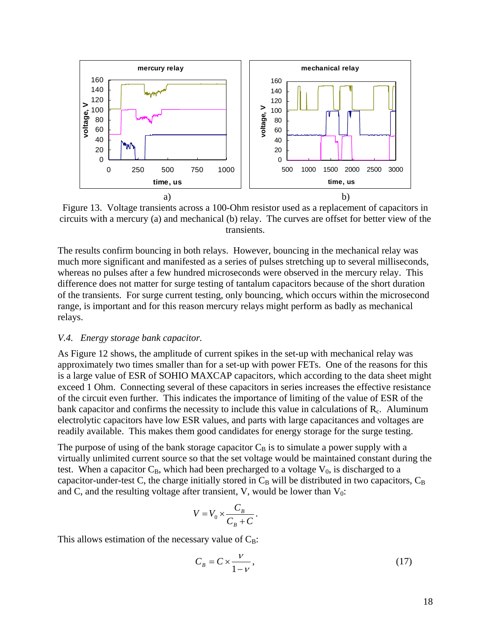

Figure 13. Voltage transients across a 100-Ohm resistor used as a replacement of capacitors in circuits with a mercury (a) and mechanical (b) relay. The curves are offset for better view of the transients.

The results confirm bouncing in both relays. However, bouncing in the mechanical relay was much more significant and manifested as a series of pulses stretching up to several milliseconds, whereas no pulses after a few hundred microseconds were observed in the mercury relay. This difference does not matter for surge testing of tantalum capacitors because of the short duration of the transients. For surge current testing, only bouncing, which occurs within the microsecond range, is important and for this reason mercury relays might perform as badly as mechanical relays.

#### *V.4. Energy storage bank capacitor.*

As Figure 12 shows, the amplitude of current spikes in the set-up with mechanical relay was approximately two times smaller than for a set-up with power FETs. One of the reasons for this is a large value of ESR of SOHIO MAXCAP capacitors, which according to the data sheet might exceed 1 Ohm. Connecting several of these capacitors in series increases the effective resistance of the circuit even further. This indicates the importance of limiting of the value of ESR of the bank capacitor and confirms the necessity to include this value in calculations of  $R<sub>c</sub>$ . Aluminum electrolytic capacitors have low ESR values, and parts with large capacitances and voltages are readily available. This makes them good candidates for energy storage for the surge testing.

The purpose of using of the bank storage capacitor  $C_B$  is to simulate a power supply with a virtually unlimited current source so that the set voltage would be maintained constant during the test. When a capacitor  $C_B$ , which had been precharged to a voltage  $V_0$ , is discharged to a capacitor-under-test C, the charge initially stored in  $C_B$  will be distributed in two capacitors,  $C_B$ and C, and the resulting voltage after transient, V, would be lower than  $V_0$ :

$$
V = V_0 \times \frac{C_B}{C_B + C}.
$$

This allows estimation of the necessary value of  $C_B$ :

$$
C_B = C \times \frac{\nu}{1 - \nu},\tag{17}
$$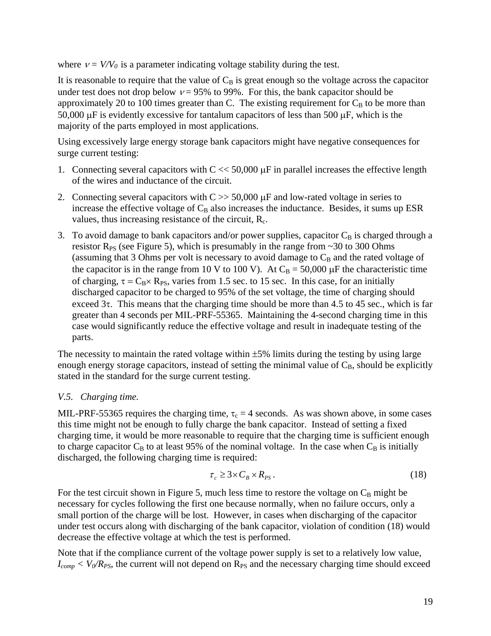where  $v = V/V_0$  is a parameter indicating voltage stability during the test.

It is reasonable to require that the value of  $C_B$  is great enough so the voltage across the capacitor under test does not drop below  $v = 95\%$  to 99%. For this, the bank capacitor should be approximately 20 to 100 times greater than C. The existing requirement for  $C_B$  to be more than 50,000 µF is evidently excessive for tantalum capacitors of less than 500 µF, which is the majority of the parts employed in most applications.

Using excessively large energy storage bank capacitors might have negative consequences for surge current testing:

- 1. Connecting several capacitors with  $C \ll 50,000 \mu$ F in parallel increases the effective length of the wires and inductance of the circuit.
- 2. Connecting several capacitors with  $C \gg 50,000 \mu$ F and low-rated voltage in series to increase the effective voltage of  $C_B$  also increases the inductance. Besides, it sums up ESR values, thus increasing resistance of the circuit,  $R_c$ .
- 3. To avoid damage to bank capacitors and/or power supplies, capacitor  $C_B$  is charged through a resistor  $R_{PS}$  (see Figure 5), which is presumably in the range from  $\sim$  30 to 300 Ohms (assuming that 3 Ohms per volt is necessary to avoid damage to  $C_B$  and the rated voltage of the capacitor is in the range from 10 V to 100 V). At  $C_B = 50,000 \mu$ F the characteristic time of charging,  $\tau = C_B \times R_{PS}$ , varies from 1.5 sec. to 15 sec. In this case, for an initially discharged capacitor to be charged to 95% of the set voltage, the time of charging should exceed  $3\tau$ . This means that the charging time should be more than 4.5 to 45 sec., which is far greater than 4 seconds per MIL-PRF-55365. Maintaining the 4-second charging time in this case would significantly reduce the effective voltage and result in inadequate testing of the parts.

The necessity to maintain the rated voltage within  $\pm 5\%$  limits during the testing by using large enough energy storage capacitors, instead of setting the minimal value of  $C_B$ , should be explicitly stated in the standard for the surge current testing.

# *V.5. Charging time.*

MIL-PRF-55365 requires the charging time,  $\tau_c = 4$  seconds. As was shown above, in some cases this time might not be enough to fully charge the bank capacitor. Instead of setting a fixed charging time, it would be more reasonable to require that the charging time is sufficient enough to charge capacitor  $C_B$  to at least 95% of the nominal voltage. In the case when  $C_B$  is initially discharged, the following charging time is required:

$$
\tau_c \ge 3 \times C_B \times R_{PS} \,. \tag{18}
$$

For the test circuit shown in Figure 5, much less time to restore the voltage on  $C_B$  might be necessary for cycles following the first one because normally, when no failure occurs, only a small portion of the charge will be lost. However, in cases when discharging of the capacitor under test occurs along with discharging of the bank capacitor, violation of condition (18) would decrease the effective voltage at which the test is performed.

Note that if the compliance current of the voltage power supply is set to a relatively low value,  $I_{comp} < V_0/R_{PS}$ , the current will not depend on  $R_{PS}$  and the necessary charging time should exceed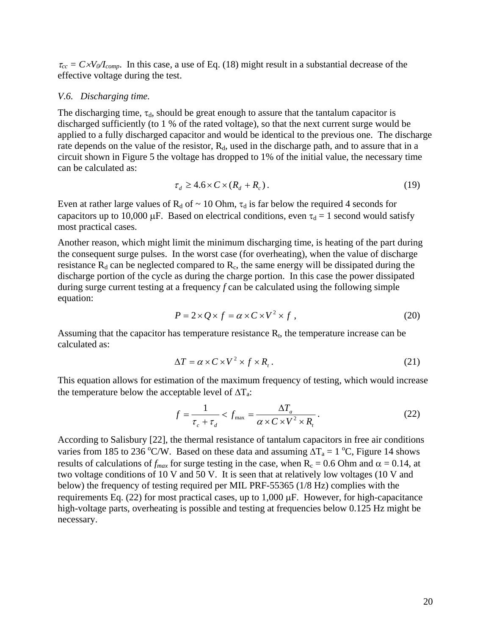$\tau_{cc} = C \times V_0/I_{comp}$ . In this case, a use of Eq. (18) might result in a substantial decrease of the effective voltage during the test.

#### *V.6. Discharging time.*

The discharging time,  $\tau_d$ , should be great enough to assure that the tantalum capacitor is discharged sufficiently (to 1 % of the rated voltage), so that the next current surge would be applied to a fully discharged capacitor and would be identical to the previous one. The discharge rate depends on the value of the resistor,  $R_d$ , used in the discharge path, and to assure that in a circuit shown in Figure 5 the voltage has dropped to 1% of the initial value, the necessary time can be calculated as:

$$
\tau_d \ge 4.6 \times C \times (R_d + R_c) \,. \tag{19}
$$

Even at rather large values of  $R_d$  of  $\sim 10$  Ohm,  $\tau_d$  is far below the required 4 seconds for capacitors up to 10,000  $\mu$ F. Based on electrical conditions, even  $\tau_d = 1$  second would satisfy most practical cases.

Another reason, which might limit the minimum discharging time, is heating of the part during the consequent surge pulses. In the worst case (for overheating), when the value of discharge resistance  $R_d$  can be neglected compared to  $R_c$ , the same energy will be dissipated during the discharge portion of the cycle as during the charge portion. In this case the power dissipated during surge current testing at a frequency *f* can be calculated using the following simple equation:

$$
P = 2 \times Q \times f = \alpha \times C \times V^2 \times f \tag{20}
$$

Assuming that the capacitor has temperature resistance  $R_t$ , the temperature increase can be calculated as:

$$
\Delta T = \alpha \times C \times V^2 \times f \times R_t. \tag{21}
$$

This equation allows for estimation of the maximum frequency of testing, which would increase the temperature below the acceptable level of  $\Delta T_a$ :

$$
f = \frac{1}{\tau_c + \tau_d} < f_{\text{max}} = \frac{\Delta T_a}{\alpha \times C \times V^2 \times R_t} \,. \tag{22}
$$

According to Salisbury [22], the thermal resistance of tantalum capacitors in free air conditions varies from 185 to 236 °C/W. Based on these data and assuming  $\Delta T_a = 1 \degree C$ , Figure 14 shows results of calculations of  $f_{max}$  for surge testing in the case, when  $R_c = 0.6$  Ohm and  $\alpha = 0.14$ , at two voltage conditions of 10 V and 50 V. It is seen that at relatively low voltages (10 V and below) the frequency of testing required per MIL PRF-55365 (1/8 Hz) complies with the requirements Eq. (22) for most practical cases, up to 1,000 µF. However, for high-capacitance high-voltage parts, overheating is possible and testing at frequencies below 0.125 Hz might be necessary.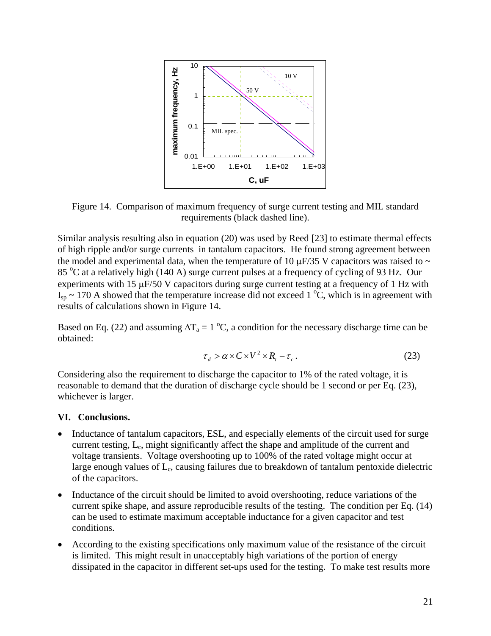

Figure 14. Comparison of maximum frequency of surge current testing and MIL standard requirements (black dashed line).

Similar analysis resulting also in equation (20) was used by Reed [23] to estimate thermal effects of high ripple and/or surge currents in tantalum capacitors. He found strong agreement between the model and experimental data, when the temperature of 10  $\mu$ F/35 V capacitors was raised to  $\sim$ 85 °C at a relatively high (140 A) surge current pulses at a frequency of cycling of 93 Hz. Our experiments with 15  $\mu$ F/50 V capacitors during surge current testing at a frequency of 1 Hz with  $I_{sp} \sim 170$  A showed that the temperature increase did not exceed 1 °C, which is in agreement with results of calculations shown in Figure 14.

Based on Eq. (22) and assuming  $\Delta T_a = 1 \degree C$ , a condition for the necessary discharge time can be obtained:

$$
\tau_d > \alpha \times C \times V^2 \times R_t - \tau_c. \tag{23}
$$

Considering also the requirement to discharge the capacitor to 1% of the rated voltage, it is reasonable to demand that the duration of discharge cycle should be 1 second or per Eq. (23), whichever is larger.

## **VI. Conclusions.**

- Inductance of tantalum capacitors, ESL, and especially elements of the circuit used for surge current testing, L<sub>c</sub>, might significantly affect the shape and amplitude of the current and voltage transients. Voltage overshooting up to 100% of the rated voltage might occur at large enough values of  $L_c$ , causing failures due to breakdown of tantalum pentoxide dielectric of the capacitors.
- Inductance of the circuit should be limited to avoid overshooting, reduce variations of the current spike shape, and assure reproducible results of the testing. The condition per Eq. (14) can be used to estimate maximum acceptable inductance for a given capacitor and test conditions.
- According to the existing specifications only maximum value of the resistance of the circuit is limited. This might result in unacceptably high variations of the portion of energy dissipated in the capacitor in different set-ups used for the testing. To make test results more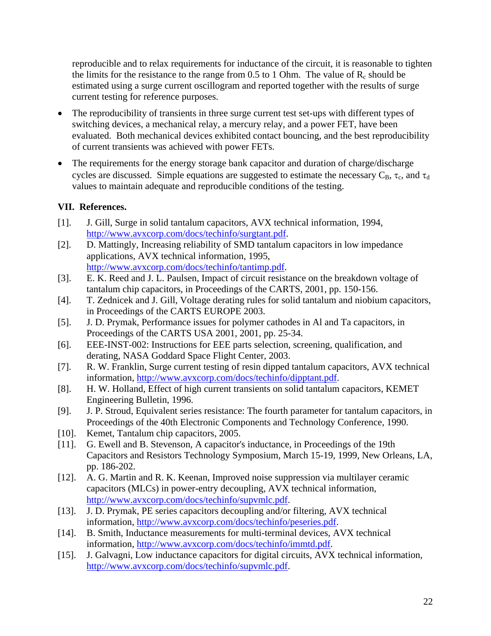reproducible and to relax requirements for inductance of the circuit, it is reasonable to tighten the limits for the resistance to the range from 0.5 to 1 Ohm. The value of  $R_c$  should be estimated using a surge current oscillogram and reported together with the results of surge current testing for reference purposes.

- The reproducibility of transients in three surge current test set-ups with different types of switching devices, a mechanical relay, a mercury relay, and a power FET, have been evaluated. Both mechanical devices exhibited contact bouncing, and the best reproducibility of current transients was achieved with power FETs.
- The requirements for the energy storage bank capacitor and duration of charge/discharge cycles are discussed. Simple equations are suggested to estimate the necessary  $C_B$ ,  $\tau_c$ , and  $\tau_d$ values to maintain adequate and reproducible conditions of the testing.

# **VII. References.**

- [1]. J. Gill, Surge in solid tantalum capacitors, AVX technical information, 1994, [http://www.avxcorp.com/docs/techinfo/surgtant.pdf.](http://www.avxcorp.com/docs/techinfo/surgtant.pdf)
- [2]. D. Mattingly, Increasing reliability of SMD tantalum capacitors in low impedance applications, AVX technical information, 1995, [http://www.avxcorp.com/docs/techinfo/tantimp.pdf.](http://www.avxcorp.com/docs/techinfo/tantimp.pdf)
- [3]. E. K. Reed and J. L. Paulsen, Impact of circuit resistance on the breakdown voltage of tantalum chip capacitors, in Proceedings of the CARTS, 2001, pp. 150-156.
- [4]. T. Zednicek and J. Gill, Voltage derating rules for solid tantalum and niobium capacitors, in Proceedings of the CARTS EUROPE 2003.
- [5]. J. D. Prymak, Performance issues for polymer cathodes in Al and Ta capacitors, in Proceedings of the CARTS USA 2001, 2001, pp. 25-34.
- [6]. EEE-INST-002: Instructions for EEE parts selection, screening, qualification, and derating, NASA Goddard Space Flight Center, 2003.
- [7]. R. W. Franklin, Surge current testing of resin dipped tantalum capacitors, AVX technical information, <http://www.avxcorp.com/docs/techinfo/dipptant.pdf>.
- [8]. H. W. Holland, Effect of high current transients on solid tantalum capacitors, KEMET Engineering Bulletin, 1996.
- [9]. J. P. Stroud, Equivalent series resistance: The fourth parameter for tantalum capacitors, in Proceedings of the 40th Electronic Components and Technology Conference, 1990.
- [10]. Kemet, Tantalum chip capacitors, 2005.
- [11]. G. Ewell and B. Stevenson, A capacitor's inductance, in Proceedings of the 19th Capacitors and Resistors Technology Symposium, March 15-19, 1999, New Orleans, LA, pp. 186-202.
- [12]. A. G. Martin and R. K. Keenan, Improved noise suppression via multilayer ceramic capacitors (MLCs) in power-entry decoupling, AVX technical information, [http://www.avxcorp.com/docs/techinfo/supvmlc.pdf.](http://www.avxcorp.com/docs/techinfo/supvmlc.pdf)
- [13]. J. D. Prymak, PE series capacitors decoupling and/or filtering, AVX technical information, [http://www.avxcorp.com/docs/techinfo/peseries.pdf.](http://www.avxcorp.com/docs/techinfo/peseries.pdf)
- [14]. B. Smith, Inductance measurements for multi-terminal devices, AVX technical information, <http://www.avxcorp.com/docs/techinfo/immtd.pdf>.
- [15]. J. Galvagni, Low inductance capacitors for digital circuits, AVX technical information, [http://www.avxcorp.com/docs/techinfo/supvmlc.pdf.](http://www.avxcorp.com/docs/techinfo/supvmlc.pdf)